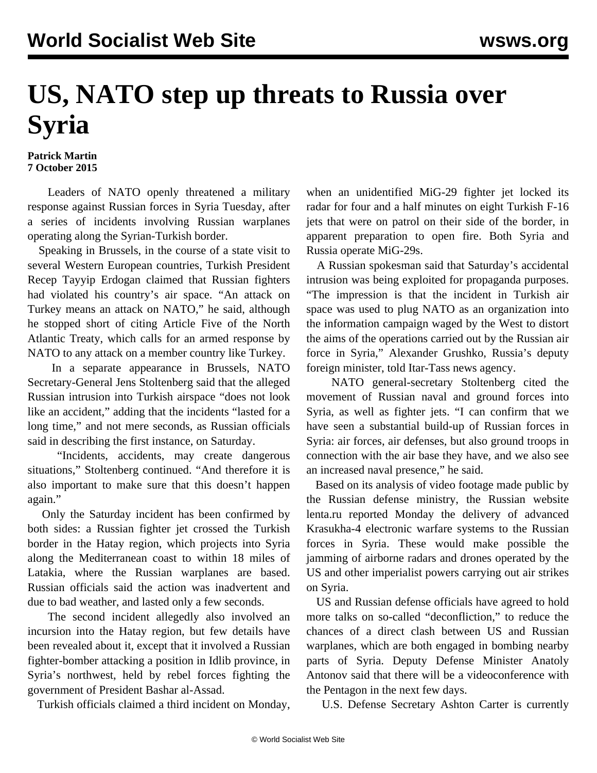## **US, NATO step up threats to Russia over Syria**

## **Patrick Martin 7 October 2015**

 Leaders of NATO openly threatened a military response against Russian forces in Syria Tuesday, after a series of incidents involving Russian warplanes operating along the Syrian-Turkish border.

 Speaking in Brussels, in the course of a state visit to several Western European countries, Turkish President Recep Tayyip Erdogan claimed that Russian fighters had violated his country's air space. "An attack on Turkey means an attack on NATO," he said, although he stopped short of citing Article Five of the North Atlantic Treaty, which calls for an armed response by NATO to any attack on a member country like Turkey.

 In a separate appearance in Brussels, NATO Secretary-General Jens Stoltenberg said that the alleged Russian intrusion into Turkish airspace "does not look like an accident," adding that the incidents "lasted for a long time," and not mere seconds, as Russian officials said in describing the first instance, on Saturday.

 "Incidents, accidents, may create dangerous situations," Stoltenberg continued. "And therefore it is also important to make sure that this doesn't happen again."

 Only the Saturday incident has been confirmed by both sides: a Russian fighter jet crossed the Turkish border in the Hatay region, which projects into Syria along the Mediterranean coast to within 18 miles of Latakia, where the Russian warplanes are based. Russian officials said the action was inadvertent and due to bad weather, and lasted only a few seconds.

 The second incident allegedly also involved an incursion into the Hatay region, but few details have been revealed about it, except that it involved a Russian fighter-bomber attacking a position in Idlib province, in Syria's northwest, held by rebel forces fighting the government of President Bashar al-Assad.

Turkish officials claimed a third incident on Monday,

when an unidentified MiG-29 fighter jet locked its radar for four and a half minutes on eight Turkish F-16 jets that were on patrol on their side of the border, in apparent preparation to open fire. Both Syria and Russia operate MiG-29s.

 A Russian spokesman said that Saturday's accidental intrusion was being exploited for propaganda purposes. "The impression is that the incident in Turkish air space was used to plug NATO as an organization into the information campaign waged by the West to distort the aims of the operations carried out by the Russian air force in Syria," Alexander Grushko, Russia's deputy foreign minister, told Itar-Tass news agency.

 NATO general-secretary Stoltenberg cited the movement of Russian naval and ground forces into Syria, as well as fighter jets. "I can confirm that we have seen a substantial build-up of Russian forces in Syria: air forces, air defenses, but also ground troops in connection with the air base they have, and we also see an increased naval presence," he said.

 Based on its analysis of video footage made public by the Russian defense ministry, the Russian website lenta.ru reported Monday the delivery of advanced Krasukha-4 electronic warfare systems to the Russian forces in Syria. These would make possible the jamming of airborne radars and drones operated by the US and other imperialist powers carrying out air strikes on Syria.

 US and Russian defense officials have agreed to hold more talks on so-called "deconfliction," to reduce the chances of a direct clash between US and Russian warplanes, which are both engaged in bombing nearby parts of Syria. Deputy Defense Minister Anatoly Antonov said that there will be a videoconference with the Pentagon in the next few days.

U.S. Defense Secretary Ashton Carter is currently